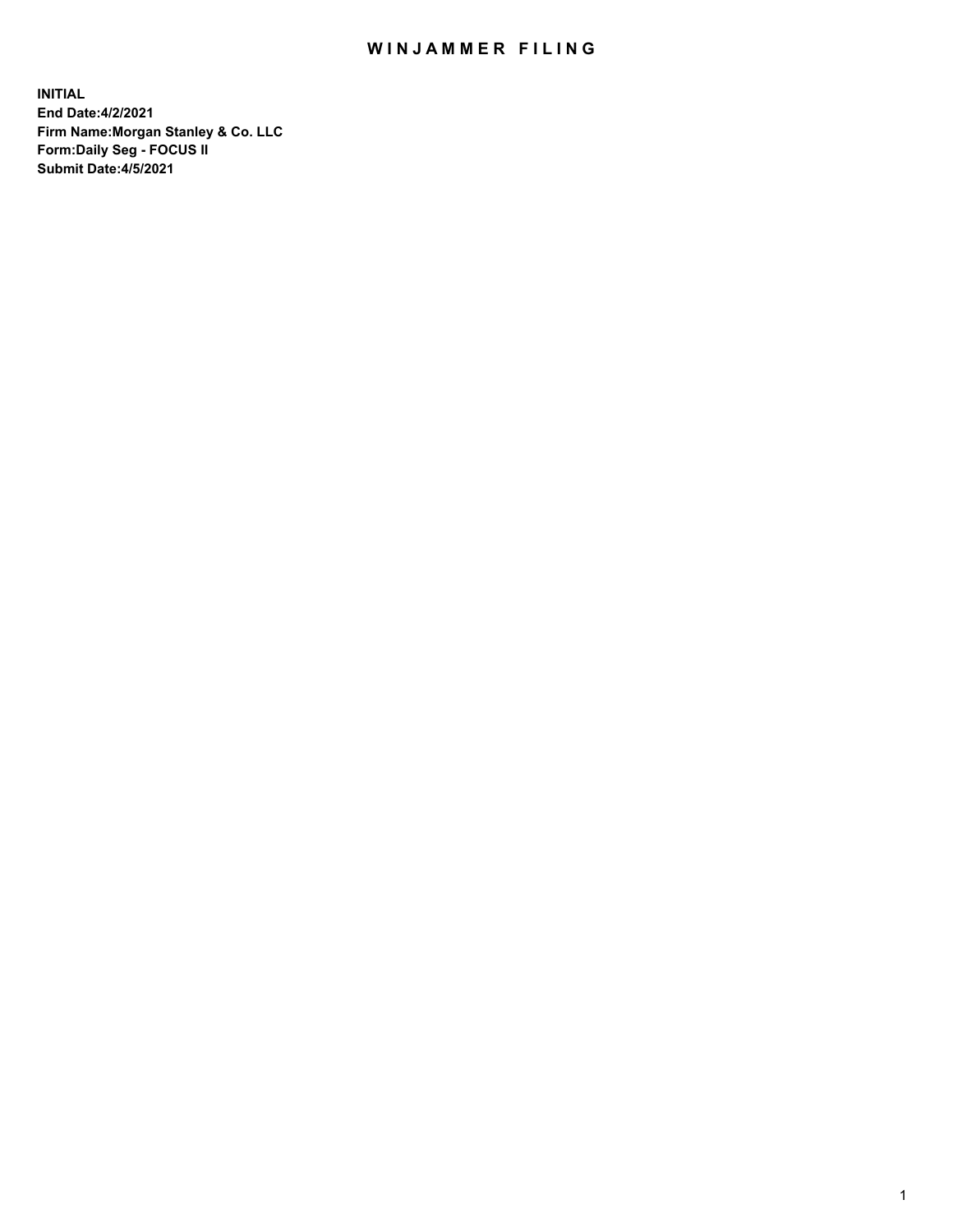## WIN JAMMER FILING

**INITIAL End Date:4/2/2021 Firm Name:Morgan Stanley & Co. LLC Form:Daily Seg - FOCUS II Submit Date:4/5/2021**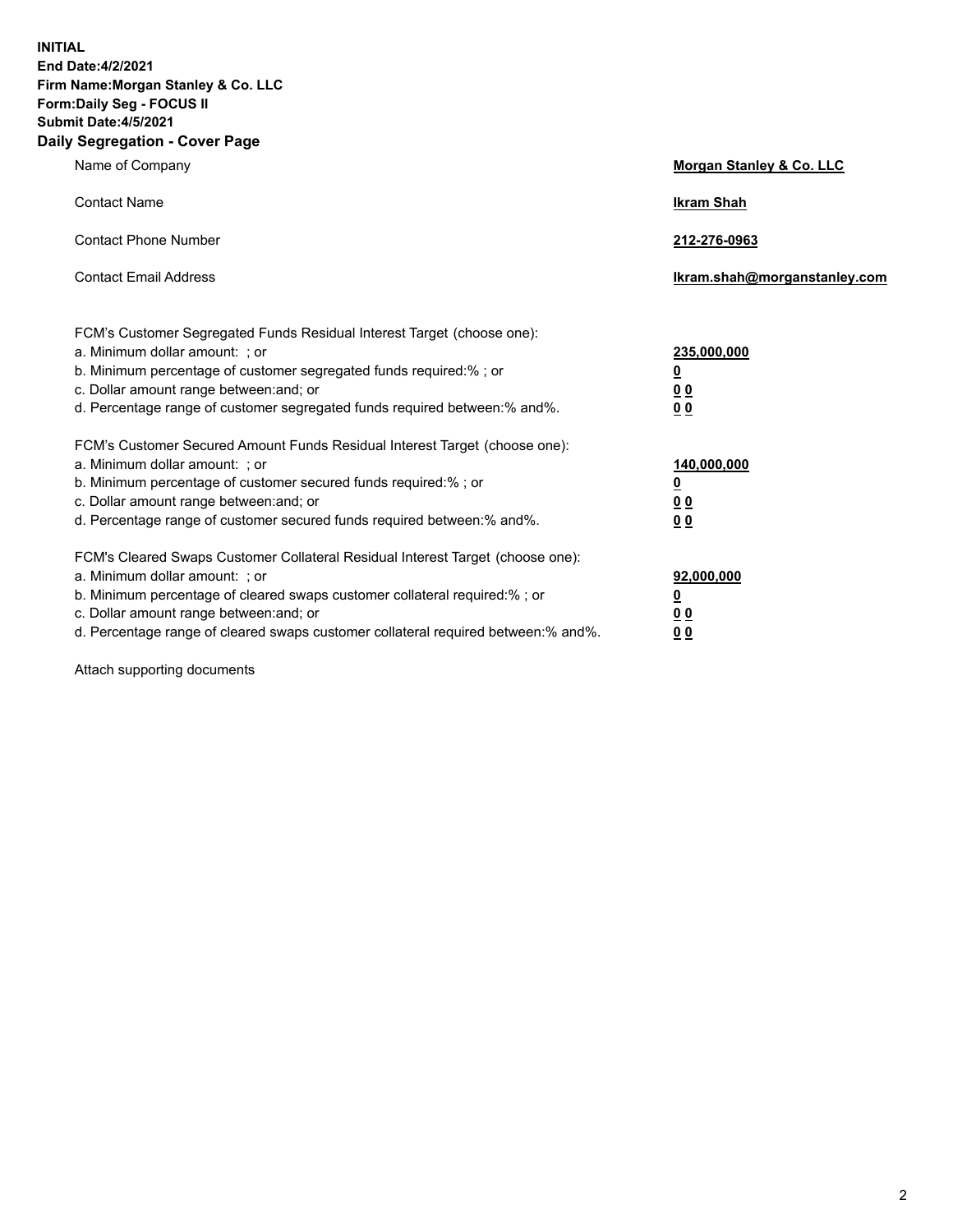**INITIAL End Date:4/2/2021 Firm Name:Morgan Stanley & Co. LLC Form:Daily Seg - FOCUS II Submit Date:4/5/2021 Daily Segregation - Cover Page**

| Name of Company                                                                                                                                                                                                                                                                                                                | <b>Morgan Stanley &amp; Co. LLC</b>                     |
|--------------------------------------------------------------------------------------------------------------------------------------------------------------------------------------------------------------------------------------------------------------------------------------------------------------------------------|---------------------------------------------------------|
| <b>Contact Name</b>                                                                                                                                                                                                                                                                                                            | <b>Ikram Shah</b>                                       |
| <b>Contact Phone Number</b>                                                                                                                                                                                                                                                                                                    | 212-276-0963                                            |
| <b>Contact Email Address</b>                                                                                                                                                                                                                                                                                                   | Ikram.shah@morganstanley.com                            |
| FCM's Customer Segregated Funds Residual Interest Target (choose one):<br>a. Minimum dollar amount: ; or<br>b. Minimum percentage of customer segregated funds required:% ; or<br>c. Dollar amount range between: and; or                                                                                                      | 235,000,000<br><u>0</u><br><u>00</u>                    |
| d. Percentage range of customer segregated funds required between:% and%.<br>FCM's Customer Secured Amount Funds Residual Interest Target (choose one):                                                                                                                                                                        | 0 <sup>0</sup>                                          |
| a. Minimum dollar amount: ; or<br>b. Minimum percentage of customer secured funds required:%; or<br>c. Dollar amount range between: and; or<br>d. Percentage range of customer secured funds required between: % and %.                                                                                                        | 140,000,000<br><u>0</u><br><u>0 0</u><br>0 <sub>0</sub> |
| FCM's Cleared Swaps Customer Collateral Residual Interest Target (choose one):<br>a. Minimum dollar amount: ; or<br>b. Minimum percentage of cleared swaps customer collateral required:% ; or<br>c. Dollar amount range between: and; or<br>d. Percentage range of cleared swaps customer collateral required between:% and%. | 92,000,000<br><u>0</u><br>0 Q<br>0 <sub>0</sub>         |

Attach supporting documents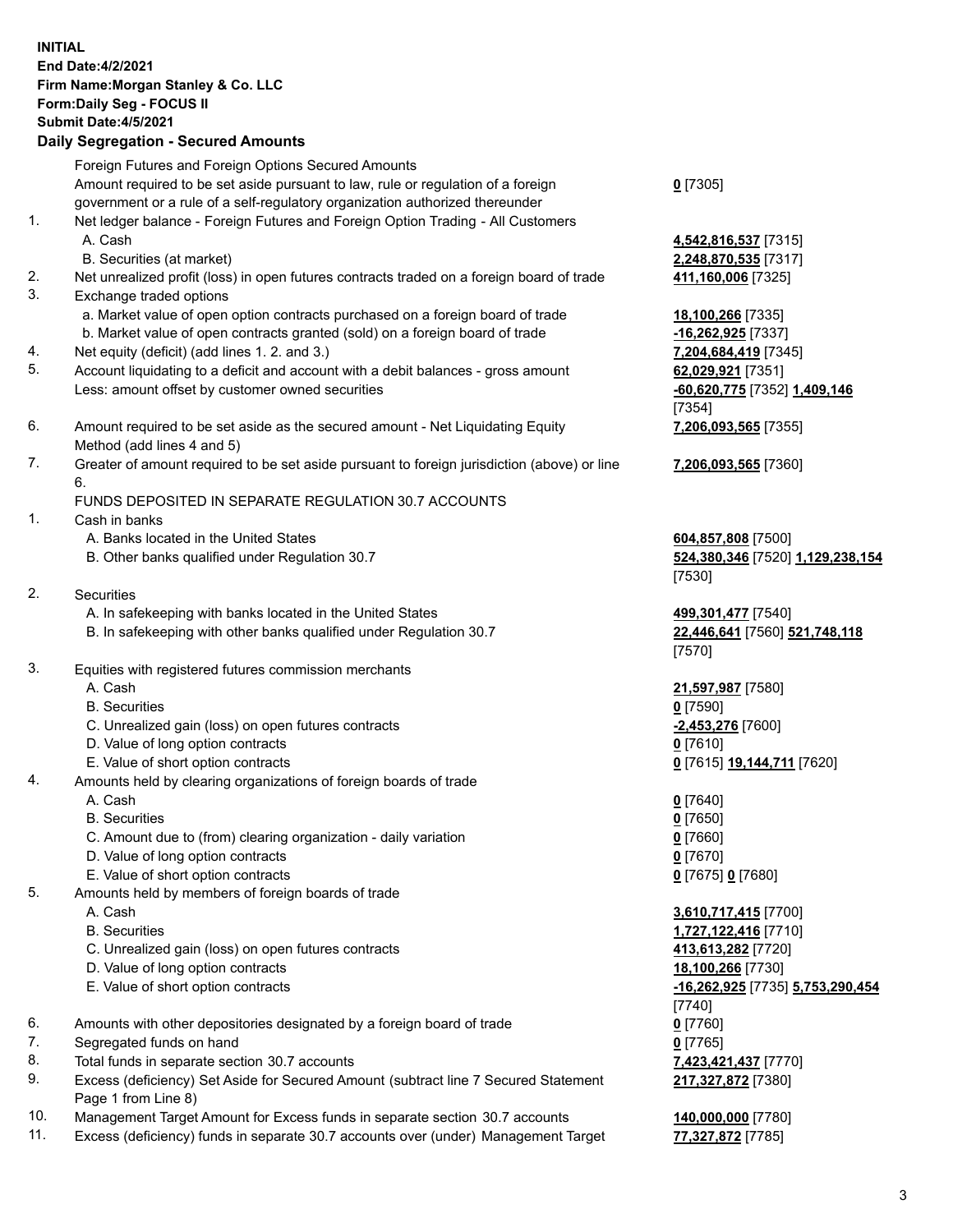## **INITIAL End Date:4/2/2021 Firm Name:Morgan Stanley & Co. LLC Form:Daily Seg - FOCUS II Submit Date:4/5/2021 Daily Segregation - Secured Amounts** Foreign Futures and Foreign Options Secured Amounts Amount required to be set aside pursuant to law, rule or regulation of a foreign government or a rule of a self-regulatory organization authorized thereunder 1. Net ledger balance - Foreign Futures and Foreign Option Trading - All Customers A. Cash **4,542,816,537** [7315] B. Securities (at market) **2,248,870,535** [7317] 2. Net unrealized profit (loss) in open futures contracts traded on a foreign board of trade **411,160,006** [7325] 3. Exchange traded options a. Market value of open option contracts purchased on a foreign board of trade **18,100,266** [7335] b. Market value of open contracts granted (sold) on a foreign board of trade **-16,262,925** [7337] 4. Net equity (deficit) (add lines 1. 2. and 3.) **7,204,684,419** [7345]

- 5. Account liquidating to a deficit and account with a debit balances gross amount **62,029,921** [7351] Less: amount offset by customer owned securities **-60,620,775** [7352] **1,409,146**
- 6. Amount required to be set aside as the secured amount Net Liquidating Equity Method (add lines 4 and 5)
- 7. Greater of amount required to be set aside pursuant to foreign jurisdiction (above) or line 6.

## FUNDS DEPOSITED IN SEPARATE REGULATION 30.7 ACCOUNTS

- 1. Cash in banks
	- A. Banks located in the United States **604,857,808** [7500]
	- B. Other banks qualified under Regulation 30.7 **524,380,346** [7520] **1,129,238,154**
- 2. Securities
	- A. In safekeeping with banks located in the United States **499,301,477** [7540]
	- B. In safekeeping with other banks qualified under Regulation 30.7 **22,446,641** [7560] **521,748,118**
- 3. Equities with registered futures commission merchants
	-
	- B. Securities **0** [7590]
	- C. Unrealized gain (loss) on open futures contracts **-2,453,276** [7600]
	- D. Value of long option contracts **0** [7610]
	- E. Value of short option contracts **0** [7615] **19,144,711** [7620]
- 4. Amounts held by clearing organizations of foreign boards of trade
	- A. Cash **0** [7640]
	- B. Securities **0** [7650]
	- C. Amount due to (from) clearing organization daily variation **0** [7660]
	- D. Value of long option contracts **0** [7670]
	- E. Value of short option contracts **0** [7675] **0** [7680]
- 5. Amounts held by members of foreign boards of trade
	-
	-
	- C. Unrealized gain (loss) on open futures contracts **413,613,282** [7720]
	- D. Value of long option contracts **18,100,266** [7730]
	-
- 6. Amounts with other depositories designated by a foreign board of trade **0** [7760]
- 7. Segregated funds on hand **0** [7765]
- 8. Total funds in separate section 30.7 accounts **7,423,421,437** [7770]
- 9. Excess (deficiency) Set Aside for Secured Amount (subtract line 7 Secured Statement Page 1 from Line 8)
- 10. Management Target Amount for Excess funds in separate section 30.7 accounts **140,000,000** [7780]
- 11. Excess (deficiency) funds in separate 30.7 accounts over (under) Management Target **77,327,872** [7785]

**0** [7305]

[7354] **7,206,093,565** [7355]

**7,206,093,565** [7360]

[7530]

[7570]

A. Cash **21,597,987** [7580]

 A. Cash **3,610,717,415** [7700] B. Securities **1,727,122,416** [7710] E. Value of short option contracts **-16,262,925** [7735] **5,753,290,454** [7740] **217,327,872** [7380]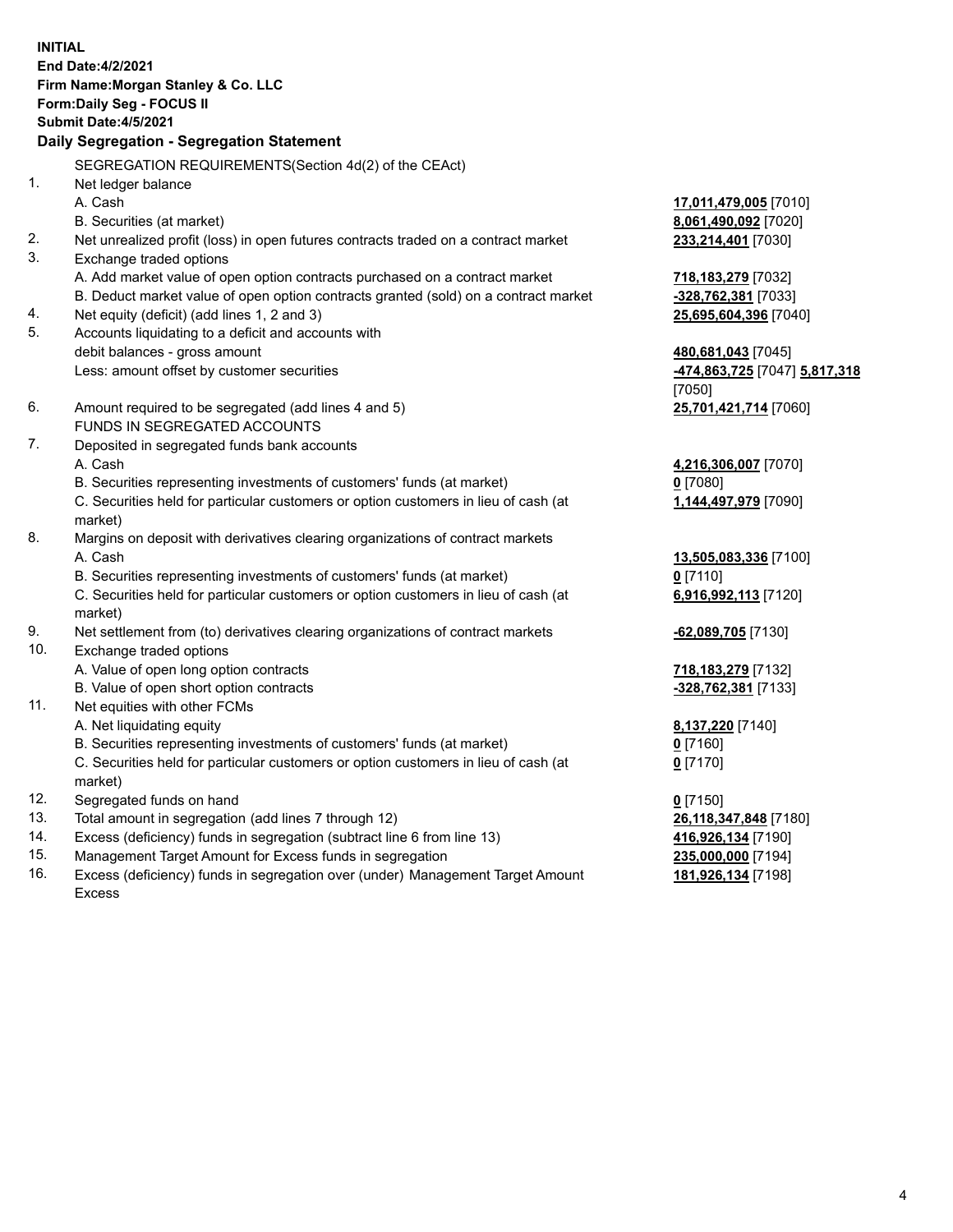**INITIAL End Date:4/2/2021 Firm Name:Morgan Stanley & Co. LLC Form:Daily Seg - FOCUS II Submit Date:4/5/2021 Daily Segregation - Segregation Statement** SEGREGATION REQUIREMENTS(Section 4d(2) of the CEAct) 1. Net ledger balance A. Cash **17,011,479,005** [7010] B. Securities (at market) **8,061,490,092** [7020] 2. Net unrealized profit (loss) in open futures contracts traded on a contract market **233,214,401** [7030] 3. Exchange traded options A. Add market value of open option contracts purchased on a contract market **718,183,279** [7032] B. Deduct market value of open option contracts granted (sold) on a contract market **-328,762,381** [7033] 4. Net equity (deficit) (add lines 1, 2 and 3) **25,695,604,396** [7040] 5. Accounts liquidating to a deficit and accounts with debit balances - gross amount **480,681,043** [7045] Less: amount offset by customer securities **-474,863,725** [7047] **5,817,318** [7050] 6. Amount required to be segregated (add lines 4 and 5) **25,701,421,714** [7060] FUNDS IN SEGREGATED ACCOUNTS 7. Deposited in segregated funds bank accounts A. Cash **4,216,306,007** [7070] B. Securities representing investments of customers' funds (at market) **0** [7080] C. Securities held for particular customers or option customers in lieu of cash (at market) **1,144,497,979** [7090] 8. Margins on deposit with derivatives clearing organizations of contract markets A. Cash **13,505,083,336** [7100] B. Securities representing investments of customers' funds (at market) **0** [7110] C. Securities held for particular customers or option customers in lieu of cash (at market) **6,916,992,113** [7120] 9. Net settlement from (to) derivatives clearing organizations of contract markets **-62,089,705** [7130] 10. Exchange traded options A. Value of open long option contracts **718,183,279** [7132] B. Value of open short option contracts **-328,762,381** [7133] 11. Net equities with other FCMs A. Net liquidating equity **8,137,220** [7140] B. Securities representing investments of customers' funds (at market) **0** [7160] C. Securities held for particular customers or option customers in lieu of cash (at market) **0** [7170] 12. Segregated funds on hand **0** [7150] 13. Total amount in segregation (add lines 7 through 12) **26,118,347,848** [7180] 14. Excess (deficiency) funds in segregation (subtract line 6 from line 13) **416,926,134** [7190] 15. Management Target Amount for Excess funds in segregation **235,000,000** [7194]

16. Excess (deficiency) funds in segregation over (under) Management Target Amount Excess

**181,926,134** [7198]